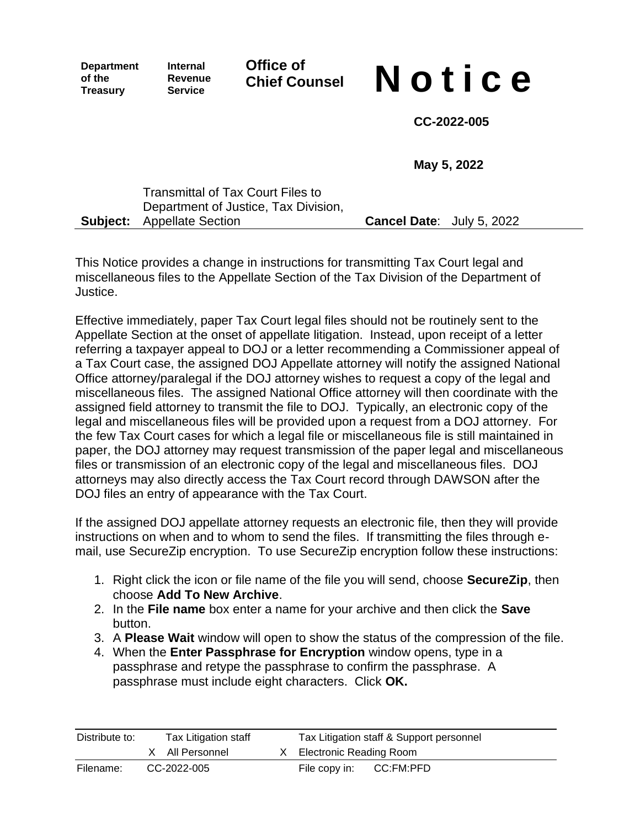**Department of the Treasury**

**Internal Revenue Service**

**Office of**

# **Chief Counsel N o t i c e**

**CC-2022-005**

**May 5, 2022**

| Transmittal of Tax Court Files to    |                                  |  |
|--------------------------------------|----------------------------------|--|
| Department of Justice, Tax Division, |                                  |  |
| <b>Subject:</b> Appellate Section    | <b>Cancel Date:</b> July 5, 2022 |  |

This Notice provides a change in instructions for transmitting Tax Court legal and miscellaneous files to the Appellate Section of the Tax Division of the Department of Justice.

Effective immediately, paper Tax Court legal files should not be routinely sent to the Appellate Section at the onset of appellate litigation. Instead, upon receipt of a letter referring a taxpayer appeal to DOJ or a letter recommending a Commissioner appeal of a Tax Court case, the assigned DOJ Appellate attorney will notify the assigned National Office attorney/paralegal if the DOJ attorney wishes to request a copy of the legal and miscellaneous files. The assigned National Office attorney will then coordinate with the assigned field attorney to transmit the file to DOJ. Typically, an electronic copy of the legal and miscellaneous files will be provided upon a request from a DOJ attorney. For the few Tax Court cases for which a legal file or miscellaneous file is still maintained in paper, the DOJ attorney may request transmission of the paper legal and miscellaneous files or transmission of an electronic copy of the legal and miscellaneous files. DOJ attorneys may also directly access the Tax Court record through DAWSON after the DOJ files an entry of appearance with the Tax Court.

If the assigned DOJ appellate attorney requests an electronic file, then they will provide instructions on when and to whom to send the files. If transmitting the files through email, use SecureZip encryption. To use SecureZip encryption follow these instructions:

- 1. Right click the icon or file name of the file you will send, choose **SecureZip**, then choose **Add To New Archive**.
- 2. In the **File name** box enter a name for your archive and then click the **Save** button.
- 3. A **Please Wait** window will open to show the status of the compression of the file.
- 4. When the **Enter Passphrase for Encryption** window opens, type in a passphrase and retype the passphrase to confirm the passphrase. A passphrase must include eight characters. Click **OK.**

| Distribute to: | Tax Litigation staff | Tax Litigation staff & Support personnel |  |
|----------------|----------------------|------------------------------------------|--|
|                | X All Personnel      | X Electronic Reading Room                |  |
| Filename:      | CC-2022-005          | CC:FM:PFD<br>File copy in:               |  |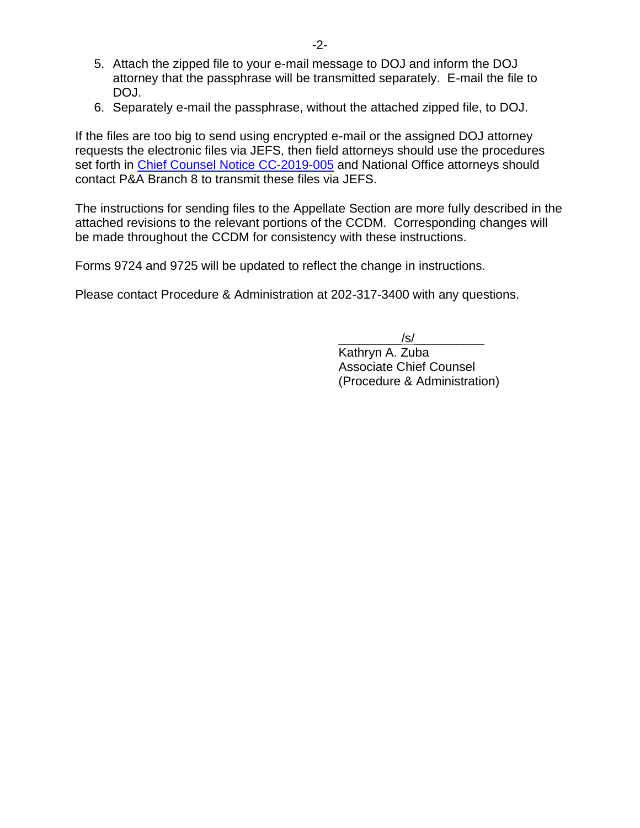- 5. Attach the zipped file to your e-mail message to DOJ and inform the DOJ attorney that the passphrase will be transmitted separately. E-mail the file to DOJ.
- 6. Separately e-mail the passphrase, without the attached zipped file, to DOJ.

If the files are too big to send using encrypted e-mail or the assigned DOJ attorney requests the electronic files via JEFS, then field attorneys should use the procedures set forth in [Chief Counsel Notice CC-2019-005](https://employeeresources.prod.irscounsel.treas.gov/Lists/CCNotices/Attachments/749/CC-2019-005.pdf) and National Office attorneys should contact P&A Branch 8 to transmit these files via JEFS.

The instructions for sending files to the Appellate Section are more fully described in the attached revisions to the relevant portions of the CCDM. Corresponding changes will be made throughout the CCDM for consistency with these instructions.

Forms 9724 and 9725 will be updated to reflect the change in instructions.

Please contact Procedure & Administration at 202-317-3400 with any questions.

\_\_\_\_\_\_\_\_\_/s/\_\_\_\_\_\_\_\_\_\_ Kathryn A. Zuba Associate Chief Counsel (Procedure & Administration)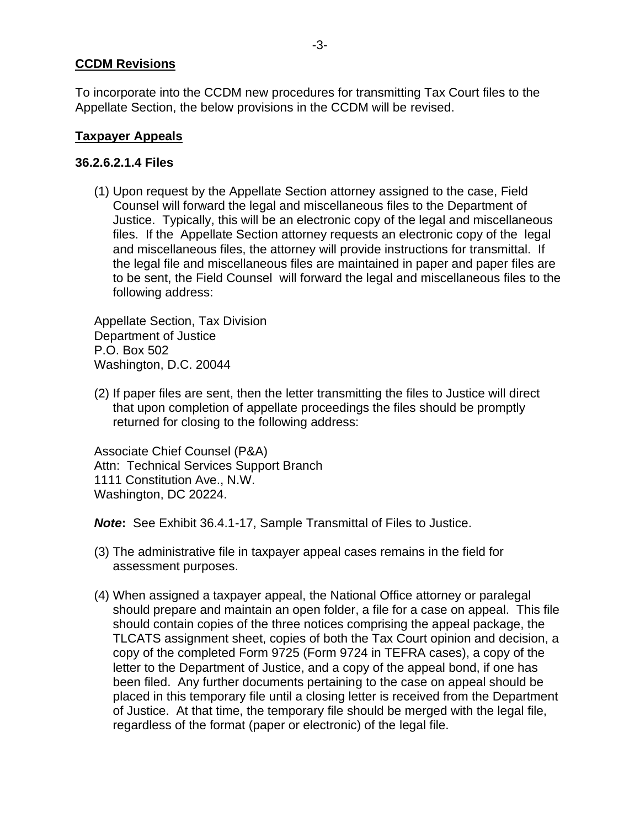# **CCDM Revisions**

To incorporate into the CCDM new procedures for transmitting Tax Court files to the Appellate Section, the below provisions in the CCDM will be revised.

# **Taxpayer Appeals**

## **36.2.6.2.1.4 Files**

(1) Upon request by the Appellate Section attorney assigned to the case, Field Counsel will forward the legal and miscellaneous files to the Department of Justice. Typically, this will be an electronic copy of the legal and miscellaneous files. If the Appellate Section attorney requests an electronic copy of the legal and miscellaneous files, the attorney will provide instructions for transmittal. If the legal file and miscellaneous files are maintained in paper and paper files are to be sent, the Field Counsel will forward the legal and miscellaneous files to the following address:

Appellate Section, Tax Division Department of Justice P.O. Box 502 Washington, D.C. 20044

(2) If paper files are sent, then the letter transmitting the files to Justice will direct that upon completion of appellate proceedings the files should be promptly returned for closing to the following address:

Associate Chief Counsel (P&A) Attn: Technical Services Support Branch 1111 Constitution Ave., N.W. Washington, DC 20224.

*Note***:** See Exhibit 36.4.1-17, Sample Transmittal of Files to Justice.

- (3) The administrative file in taxpayer appeal cases remains in the field for assessment purposes.
- (4) When assigned a taxpayer appeal, the National Office attorney or paralegal should prepare and maintain an open folder, a file for a case on appeal. This file should contain copies of the three notices comprising the appeal package, the TLCATS assignment sheet, copies of both the Tax Court opinion and decision, a copy of the completed Form 9725 (Form 9724 in TEFRA cases), a copy of the letter to the Department of Justice, and a copy of the appeal bond, if one has been filed. Any further documents pertaining to the case on appeal should be placed in this temporary file until a closing letter is received from the Department of Justice. At that time, the temporary file should be merged with the legal file, regardless of the format (paper or electronic) of the legal file.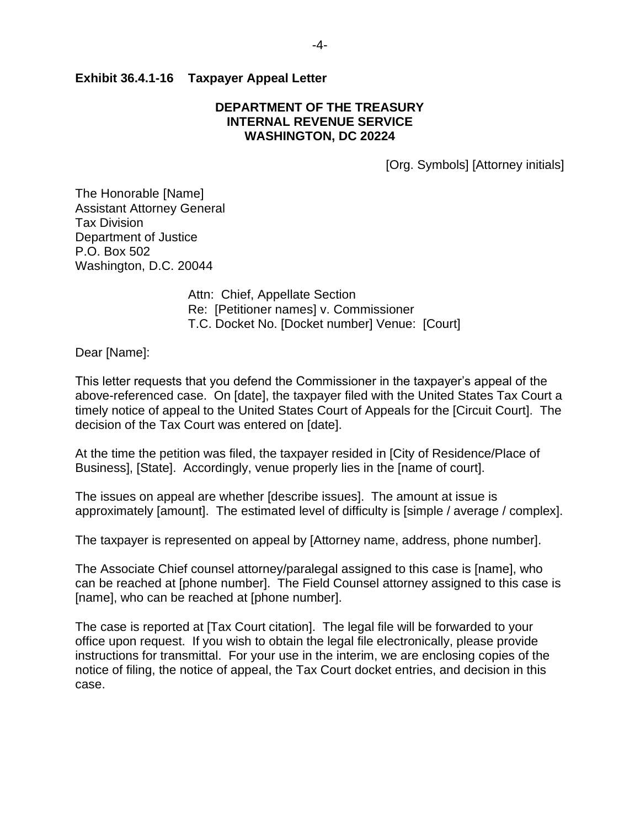#### **Exhibit 36.4.1-16 Taxpayer Appeal Letter**

#### **DEPARTMENT OF THE TREASURY INTERNAL REVENUE SERVICE WASHINGTON, DC 20224**

[Org. Symbols] [Attorney initials]

The Honorable [Name] Assistant Attorney General Tax Division Department of Justice P.O. Box 502 Washington, D.C. 20044

> Attn: Chief, Appellate Section Re: [Petitioner names] v. Commissioner T.C. Docket No. [Docket number] Venue: [Court]

Dear [Name]:

This letter requests that you defend the Commissioner in the taxpayer's appeal of the above-referenced case. On [date], the taxpayer filed with the United States Tax Court a timely notice of appeal to the United States Court of Appeals for the [Circuit Court]. The decision of the Tax Court was entered on [date].

At the time the petition was filed, the taxpayer resided in [City of Residence/Place of Business], [State]. Accordingly, venue properly lies in the [name of court].

The issues on appeal are whether [describe issues]. The amount at issue is approximately [amount]. The estimated level of difficulty is [simple / average / complex].

The taxpayer is represented on appeal by [Attorney name, address, phone number].

The Associate Chief counsel attorney/paralegal assigned to this case is [name], who can be reached at [phone number]. The Field Counsel attorney assigned to this case is [name], who can be reached at [phone number].

The case is reported at [Tax Court citation]. The legal file will be forwarded to your office upon request. If you wish to obtain the legal file electronically, please provide instructions for transmittal. For your use in the interim, we are enclosing copies of the notice of filing, the notice of appeal, the Tax Court docket entries, and decision in this case.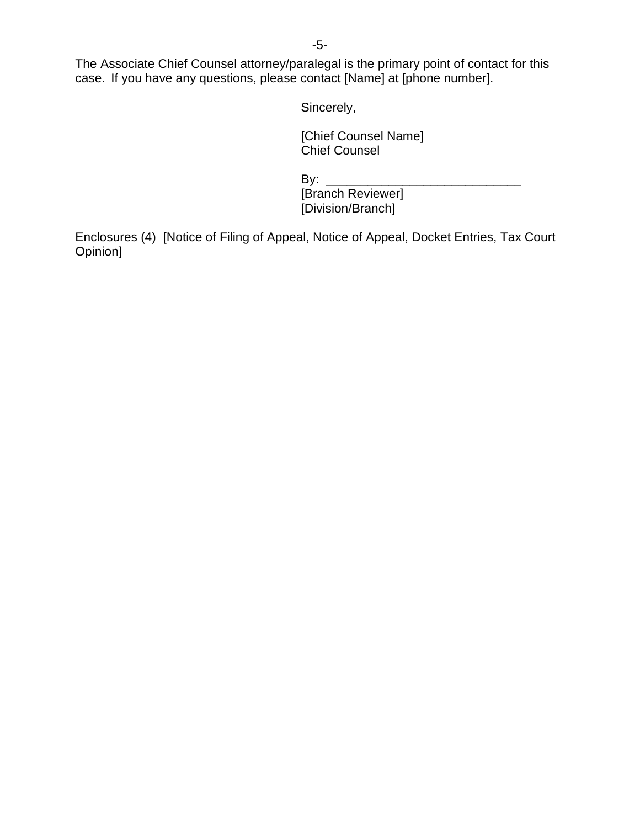-5-

The Associate Chief Counsel attorney/paralegal is the primary point of contact for this case. If you have any questions, please contact [Name] at [phone number].

Sincerely,

[Chief Counsel Name] Chief Counsel

By: \_\_\_\_\_\_\_\_\_\_\_\_\_\_\_\_\_\_\_\_\_\_\_\_\_\_\_\_

[Branch Reviewer] [Division/Branch]

Enclosures (4) [Notice of Filing of Appeal, Notice of Appeal, Docket Entries, Tax Court Opinion]